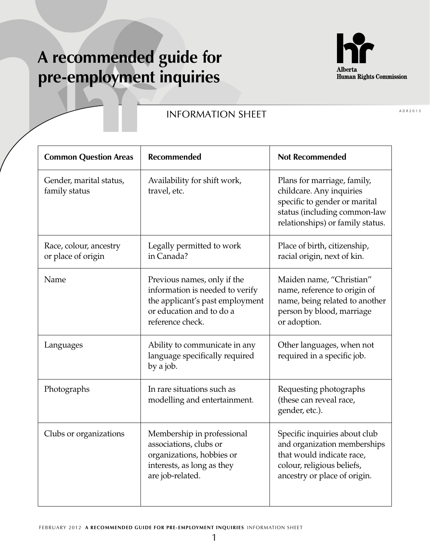## **A recommended guide for pre-employment inquiries**



## **INFORMATION SHEET**

| <b>Common Question Areas</b>                 | <b>Recommended</b>                                                                                                                                | <b>Not Recommended</b>                                                                                                                                       |
|----------------------------------------------|---------------------------------------------------------------------------------------------------------------------------------------------------|--------------------------------------------------------------------------------------------------------------------------------------------------------------|
| Gender, marital status,<br>family status     | Availability for shift work,<br>travel, etc.                                                                                                      | Plans for marriage, family,<br>childcare. Any inquiries<br>specific to gender or marital<br>status (including common-law<br>relationships) or family status. |
| Race, colour, ancestry<br>or place of origin | Legally permitted to work<br>in Canada?                                                                                                           | Place of birth, citizenship,<br>racial origin, next of kin.                                                                                                  |
| Name                                         | Previous names, only if the<br>information is needed to verify<br>the applicant's past employment<br>or education and to do a<br>reference check. | Maiden name, "Christian"<br>name, reference to origin of<br>name, being related to another<br>person by blood, marriage<br>or adoption.                      |
| Languages                                    | Ability to communicate in any<br>language specifically required<br>by a job.                                                                      | Other languages, when not<br>required in a specific job.                                                                                                     |
| Photographs                                  | In rare situations such as<br>modelling and entertainment.                                                                                        | Requesting photographs<br>(these can reveal race,<br>gender, etc.).                                                                                          |
| Clubs or organizations                       | Membership in professional<br>associations, clubs or<br>organizations, hobbies or<br>interests, as long as they<br>are job-related.               | Specific inquiries about club<br>and organization memberships<br>that would indicate race,<br>colour, religious beliefs,<br>ancestry or place of origin.     |

ADR2013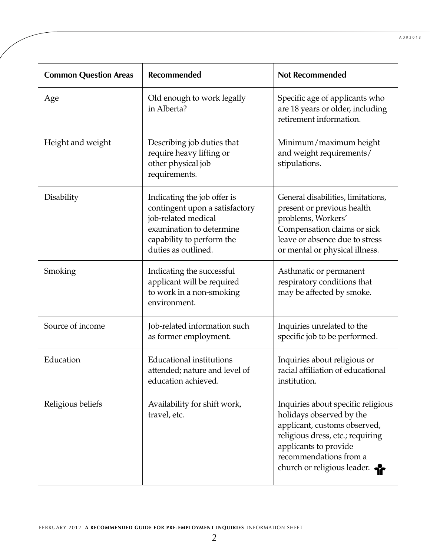| <b>Common Question Areas</b> | <b>Recommended</b>                                                                                                                                                   | <b>Not Recommended</b>                                                                                                                                                                                               |
|------------------------------|----------------------------------------------------------------------------------------------------------------------------------------------------------------------|----------------------------------------------------------------------------------------------------------------------------------------------------------------------------------------------------------------------|
| Age                          | Old enough to work legally<br>in Alberta?                                                                                                                            | Specific age of applicants who<br>are 18 years or older, including<br>retirement information.                                                                                                                        |
| Height and weight            | Describing job duties that<br>require heavy lifting or<br>other physical job<br>requirements.                                                                        | Minimum/maximum height<br>and weight requirements/<br>stipulations.                                                                                                                                                  |
| Disability                   | Indicating the job offer is<br>contingent upon a satisfactory<br>job-related medical<br>examination to determine<br>capability to perform the<br>duties as outlined. | General disabilities, limitations,<br>present or previous health<br>problems, Workers'<br>Compensation claims or sick<br>leave or absence due to stress<br>or mental or physical illness.                            |
| Smoking                      | Indicating the successful<br>applicant will be required<br>to work in a non-smoking<br>environment.                                                                  | Asthmatic or permanent<br>respiratory conditions that<br>may be affected by smoke.                                                                                                                                   |
| Source of income             | Job-related information such<br>as former employment.                                                                                                                | Inquiries unrelated to the<br>specific job to be performed.                                                                                                                                                          |
| Education                    | <b>Educational institutions</b><br>attended; nature and level of<br>education achieved.                                                                              | Inquiries about religious or<br>racial affiliation of educational<br>institution.                                                                                                                                    |
| Religious beliefs            | Availability for shift work,<br>travel, etc.                                                                                                                         | Inquiries about specific religious<br>holidays observed by the<br>applicant, customs observed,<br>religious dress, etc.; requiring<br>applicants to provide<br>recommendations from a<br>church or religious leader. |